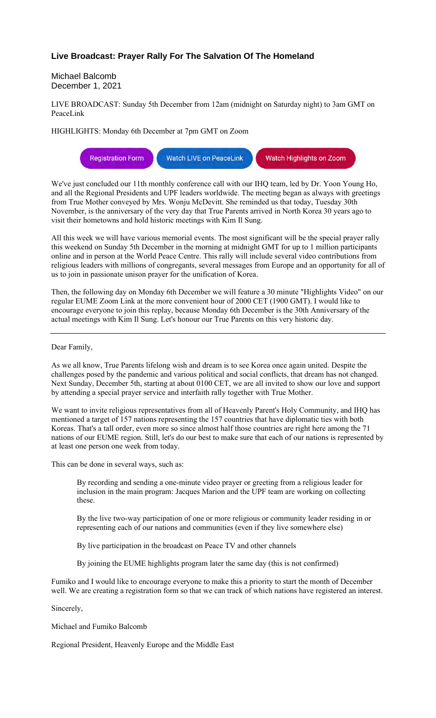## **Live Broadcast: Prayer Rally For The Salvation Of The Homeland**

Michael Balcomb December 1, 2021

LIVE BROADCAST: Sunday 5th December from 12am (midnight on Saturday night) to 3am GMT on PeaceLink

HIGHLIGHTS: Monday 6th December at 7pm GMT on Zoom

Watch LIVE on PeaceLink **Registration Form** Watch Highlights on Zoom

We've just concluded our 11th monthly conference call with our IHQ team, led by Dr. Yoon Young Ho, and all the Regional Presidents and UPF leaders worldwide. The meeting began as always with greetings from True Mother conveyed by Mrs. Wonju McDevitt. She reminded us that today, Tuesday 30th November, is the anniversary of the very day that True Parents arrived in North Korea 30 years ago to visit their hometowns and hold historic meetings with Kim Il Sung.

All this week we will have various memorial events. The most significant will be the special prayer rally this weekend on Sunday 5th December in the morning at midnight GMT for up to 1 million participants online and in person at the World Peace Centre. This rally will include several video contributions from religious leaders with millions of congregants, several messages from Europe and an opportunity for all of us to join in passionate unison prayer for the unification of Korea.

Then, the following day on Monday 6th December we will feature a 30 minute "Highlights Video" on our regular EUME Zoom Link at the more convenient hour of 2000 CET (1900 GMT). I would like to encourage everyone to join this replay, because Monday 6th December is the 30th Anniversary of the actual meetings with Kim Il Sung. Let's honour our True Parents on this very historic day.

## Dear Family,

As we all know, True Parents lifelong wish and dream is to see Korea once again united. Despite the challenges posed by the pandemic and various political and social conflicts, that dream has not changed. Next Sunday, December 5th, starting at about 0100 CET, we are all invited to show our love and support by attending a special prayer service and interfaith rally together with True Mother.

We want to invite religious representatives from all of Heavenly Parent's Holy Community, and IHQ has mentioned a target of 157 nations representing the 157 countries that have diplomatic ties with both Koreas. That's a tall order, even more so since almost half those countries are right here among the 71 nations of our EUME region. Still, let's do our best to make sure that each of our nations is represented by at least one person one week from today.

This can be done in several ways, such as:

By recording and sending a one-minute video prayer or greeting from a religious leader for inclusion in the main program: Jacques Marion and the UPF team are working on collecting these.

By the live two-way participation of one or more religious or community leader residing in or representing each of our nations and communities (even if they live somewhere else)

By live participation in the broadcast on Peace TV and other channels

By joining the EUME highlights program later the same day (this is not confirmed)

Fumiko and I would like to encourage everyone to make this a priority to start the month of December well. We are creating a registration form so that we can track of which nations have registered an interest.

Sincerely,

Michael and Fumiko Balcomb

Regional President, Heavenly Europe and the Middle East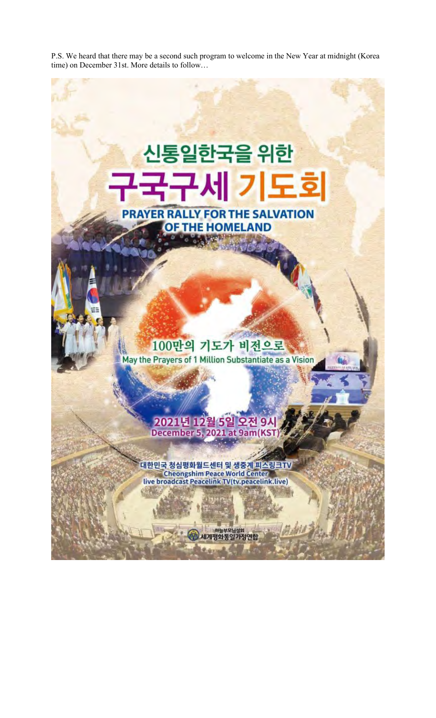P.S. We heard that there may be a second such program to welcome in the New Year at midnight (Korea time) on December 31st. More details to follow…